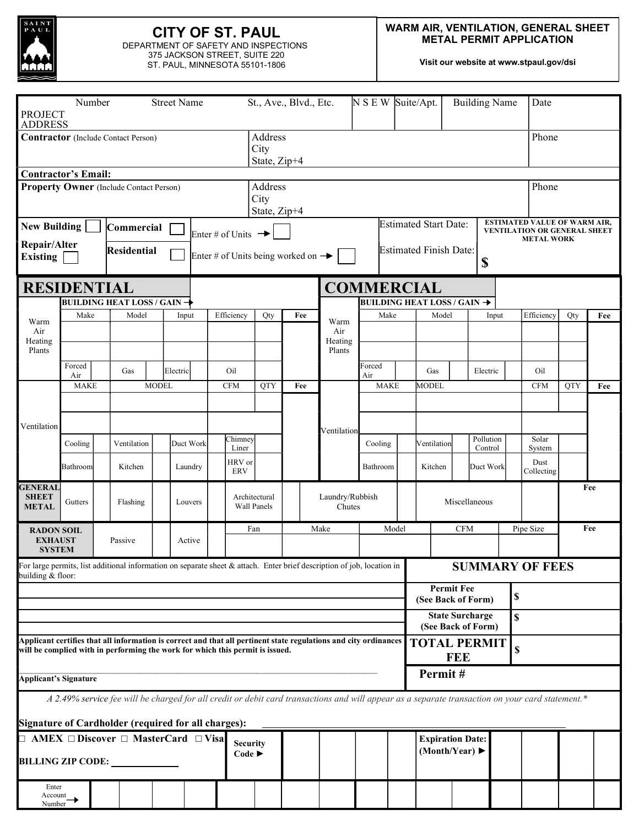

# CITY OF ST. PAUL

DEPARTMENT OF SAFETY AND INSPECTIONS 375 JACKSON STREET, SUITE 220 ST. PAUL, MINNESOTA 55101-1806

Visit our website at www.stpaul.gov/dsi

| Number<br><b>Street Name</b><br><b>PROJECT</b><br><b>ADDRESS</b>                                                                               |                                                                                                                                                                                                                                        |  |                                                                                                                                                  |              |           |                                |                        | St., Ave., Blvd., Etc.                         |                                 |      |                           | N S E W Suite/Apt. |             |       |                                                                     |             | <b>Building Name</b> |                                                                                                 | Date                         |            |     |  |
|------------------------------------------------------------------------------------------------------------------------------------------------|----------------------------------------------------------------------------------------------------------------------------------------------------------------------------------------------------------------------------------------|--|--------------------------------------------------------------------------------------------------------------------------------------------------|--------------|-----------|--------------------------------|------------------------|------------------------------------------------|---------------------------------|------|---------------------------|--------------------|-------------|-------|---------------------------------------------------------------------|-------------|----------------------|-------------------------------------------------------------------------------------------------|------------------------------|------------|-----|--|
| Contractor (Include Contact Person)                                                                                                            |                                                                                                                                                                                                                                        |  |                                                                                                                                                  |              |           |                                |                        |                                                | Address<br>City<br>State, Zip+4 |      |                           |                    |             |       |                                                                     |             |                      |                                                                                                 |                              | Phone      |     |  |
| <b>Contractor's Email:</b>                                                                                                                     |                                                                                                                                                                                                                                        |  |                                                                                                                                                  |              |           |                                |                        |                                                |                                 |      |                           |                    |             |       |                                                                     |             |                      |                                                                                                 |                              |            |     |  |
| Property Owner (Include Contact Person)                                                                                                        |                                                                                                                                                                                                                                        |  |                                                                                                                                                  |              |           |                                |                        | Address<br>City<br>State, Zip+4                |                                 |      |                           |                    |             |       |                                                                     |             |                      |                                                                                                 |                              | Phone      |     |  |
| <b>New Building</b><br>Commercial<br>Repair/Alter<br>Residential<br><b>Existing</b>                                                            |                                                                                                                                                                                                                                        |  |                                                                                                                                                  |              |           | Enter # of Units $\rightarrow$ |                        | Enter # of Units being worked on $\rightarrow$ |                                 |      |                           |                    |             |       | <b>Estimated Start Date:</b><br><b>Estimated Finish Date:</b><br>\$ |             |                      | <b>ESTIMATED VALUE OF WARM AIR,</b><br><b>VENTILATION OR GENERAL SHEET</b><br><b>METAL WORK</b> |                              |            |     |  |
| <b>RESIDENTIAL</b>                                                                                                                             |                                                                                                                                                                                                                                        |  |                                                                                                                                                  |              |           |                                |                        | <b>COMMERCIAL</b>                              |                                 |      |                           |                    |             |       |                                                                     |             |                      |                                                                                                 |                              |            |     |  |
|                                                                                                                                                |                                                                                                                                                                                                                                        |  | <b>BUILDING HEAT LOSS / GAIN →</b>                                                                                                               |              |           |                                |                        |                                                |                                 |      |                           |                    |             |       | BUILDING HEAT LOSS / GAIN $\rightarrow$                             |             |                      |                                                                                                 |                              |            |     |  |
| Warm<br>Air<br>Heating<br>Plants<br>Ventilation                                                                                                | Make                                                                                                                                                                                                                                   |  | Model                                                                                                                                            |              | Input     |                                | Efficiency             | Qty                                            |                                 | Fee  | Warm                      |                    | Make        |       | Model                                                               |             | Input                |                                                                                                 | Efficiency                   | Qty        | Fee |  |
|                                                                                                                                                |                                                                                                                                                                                                                                        |  |                                                                                                                                                  |              |           |                                |                        |                                                |                                 |      | Air<br>Heating<br>Plants  |                    |             |       |                                                                     |             |                      |                                                                                                 |                              |            |     |  |
|                                                                                                                                                | Forced<br>Air                                                                                                                                                                                                                          |  | Gas                                                                                                                                              |              | Electric  |                                | Oil                    |                                                |                                 |      |                           | Forced<br>Air      |             |       | Gas                                                                 |             | Electric             |                                                                                                 | Oil                          |            |     |  |
|                                                                                                                                                | <b>MAKE</b>                                                                                                                                                                                                                            |  |                                                                                                                                                  | <b>MODEL</b> |           |                                | <b>CFM</b>             | <b>OTY</b>                                     | Fee                             |      |                           |                    | <b>MAKE</b> |       | MODEL                                                               |             |                      |                                                                                                 | <b>CFM</b>                   | <b>QTY</b> | Fee |  |
|                                                                                                                                                |                                                                                                                                                                                                                                        |  |                                                                                                                                                  |              |           |                                |                        |                                                |                                 |      | Ventilation               |                    |             |       |                                                                     |             |                      |                                                                                                 |                              |            |     |  |
|                                                                                                                                                | Cooling                                                                                                                                                                                                                                |  | Ventilation                                                                                                                                      |              | Duct Work |                                | Chimney                |                                                |                                 |      |                           |                    | Cooling     |       | Ventilation                                                         |             | Pollution            |                                                                                                 | Solar                        |            |     |  |
|                                                                                                                                                | Bathroom                                                                                                                                                                                                                               |  | Kitchen                                                                                                                                          |              | Laundry   |                                | Liner<br>HRV or<br>ERV |                                                |                                 |      |                           |                    | Bathroom    |       | Kitchen                                                             |             | Control<br>Duct Work |                                                                                                 | System<br>Dust<br>Collecting |            |     |  |
| <b>GENERAL</b><br><b>SHEET</b><br><b>METAL</b>                                                                                                 | Gutters                                                                                                                                                                                                                                |  | Flashing                                                                                                                                         |              | Louvers   |                                |                        | Architectural<br><b>Wall Panels</b>            |                                 |      | Laundry/Rubbish<br>Chutes |                    |             |       | Miscellaneous                                                       |             |                      |                                                                                                 |                              |            | Fee |  |
| <b>RADON SOIL</b><br><b>EXHAUST</b><br><b>SYSTEM</b>                                                                                           |                                                                                                                                                                                                                                        |  | Passive                                                                                                                                          |              | Active    |                                |                        | Fan                                            |                                 | Make |                           |                    |             | Model |                                                                     | <b>CFM</b>  |                      |                                                                                                 | Pipe Size                    |            | Fee |  |
| For large permits, list additional information on separate sheet $\&$ attach. Enter brief description of job, location in<br>building & floor: |                                                                                                                                                                                                                                        |  |                                                                                                                                                  |              |           |                                |                        |                                                |                                 |      |                           |                    |             |       |                                                                     |             |                      |                                                                                                 | <b>SUMMARY OF FEES</b>       |            |     |  |
|                                                                                                                                                |                                                                                                                                                                                                                                        |  |                                                                                                                                                  |              |           |                                |                        |                                                |                                 |      |                           |                    |             |       | <b>Permit Fee</b><br>\$<br>(See Back of Form)                       |             |                      |                                                                                                 |                              |            |     |  |
|                                                                                                                                                |                                                                                                                                                                                                                                        |  |                                                                                                                                                  |              |           |                                |                        |                                                |                                 |      |                           |                    |             |       | <b>State Surcharge</b><br>\$<br>(See Back of Form)                  |             |                      |                                                                                                 |                              |            |     |  |
|                                                                                                                                                | Applicant certifies that all information is correct and that all pertinent state regulations and city ordinances<br><b>TOTAL PERMIT</b><br>will be complied with in performing the work for which this permit is issued.<br><b>FEE</b> |  |                                                                                                                                                  |              |           |                                |                        |                                                |                                 |      |                           |                    |             |       |                                                                     | $\mathbb S$ |                      |                                                                                                 |                              |            |     |  |
| Permit#<br><b>Applicant's Signature</b>                                                                                                        |                                                                                                                                                                                                                                        |  |                                                                                                                                                  |              |           |                                |                        |                                                |                                 |      |                           |                    |             |       |                                                                     |             |                      |                                                                                                 |                              |            |     |  |
| Signature of Cardholder (required for all charges):                                                                                            |                                                                                                                                                                                                                                        |  | A 2.49% service fee will be charged for all credit or debit card transactions and will appear as a separate transaction on your card statement.* |              |           |                                |                        |                                                |                                 |      |                           |                    |             |       |                                                                     |             |                      |                                                                                                 |                              |            |     |  |
| $\Box$ AMEX $\Box$ Discover $\Box$ MasterCard $\Box$ Visa<br><b>BILLING ZIP CODE:</b>                                                          |                                                                                                                                                                                                                                        |  |                                                                                                                                                  |              |           |                                |                        | <b>Security</b><br>Code $\blacktriangleright$  |                                 |      |                           |                    |             |       | <b>Expiration Date:</b><br>(Month/Year) $\blacktriangleright$       |             |                      |                                                                                                 |                              |            |     |  |
| Enter<br>Account<br>Number <sup>-</sup>                                                                                                        |                                                                                                                                                                                                                                        |  |                                                                                                                                                  |              |           |                                |                        |                                                |                                 |      |                           |                    |             |       |                                                                     |             |                      |                                                                                                 |                              |            |     |  |